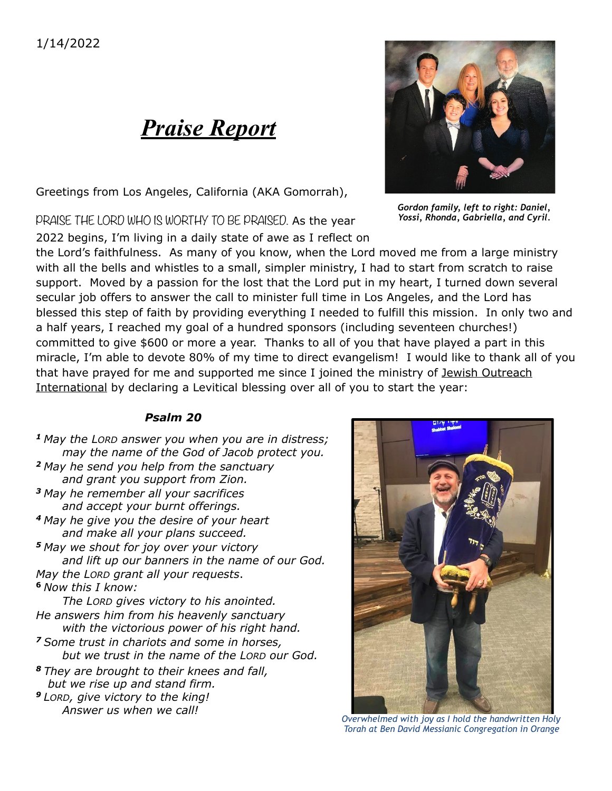## *Praise Report*

Greetings from Los Angeles, California (AKA Gomorrah),

PRAISE THE LORD WHO IS WORTHY TO BE PRAISED. As the year

2022 begins, I'm living in a daily state of awe as I reflect on

the Lord's faithfulness. As many of you know, when the Lord moved me from a large ministry with all the bells and whistles to a small, simpler ministry, I had to start from scratch to raise support. Moved by a passion for the lost that the Lord put in my heart, I turned down several secular job offers to answer the call to minister full time in Los Angeles, and the Lord has blessed this step of faith by providing everything I needed to fulfill this mission. In only two and a half years, I reached my goal of a hundred sponsors (including seventeen churches!) committed to give \$600 or more a year. Thanks to all of you that have played a part in this miracle, I'm able to devote 80% of my time to direct evangelism! I would like to thank all of you that have prayed for me and supported me since I joined the ministry of lewish Outreach International by declaring a Levitical blessing over all of you to start the year:

## *Psalm 20*

*<sup>1</sup>May the LORD answer you when you are in distress; may the name of the God of Jacob protect you. <sup>2</sup>May he send you help from the sanctuary and grant you support from Zion. <sup>3</sup>May he remember all your sacrifices and accept your burnt offerings. <sup>4</sup>May he give you the desire of your heart and make all your plans succeed. <sup>5</sup>May we shout for joy over your victory and lift up our banners in the name of our God. May the LORD grant all your requests*. **<sup>6</sup>***Now this I know: The LORD gives victory to his anointed.*

*He answers him from his heavenly sanctuary with the victorious power of his right hand. <sup>7</sup>Some trust in chariots and some in horses, but we trust in the name of the LORD our God.*

*<sup>8</sup>They are brought to their knees and fall, but we rise up and stand firm.*

*<sup>9</sup>LORD, give victory to the king! Answer us when we call!*

*Overwhelmed with joy as I hold the handwritten Holy Torah at Ben David Messianic Congregation in Orange* 





*Gordon family, left to right: Daniel, Yossi, Rhonda, Gabriella, and Cyril.*